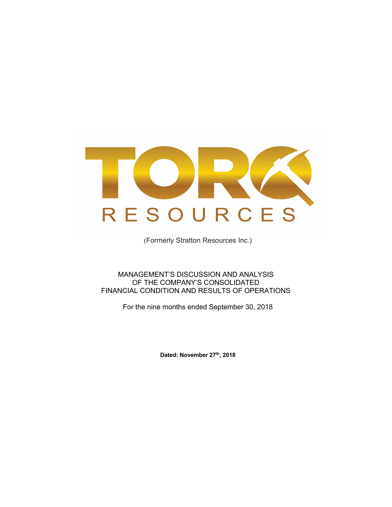

(Formerly Stratton Resources Inc.)

# MANAGEMENT'S DISCUSSION AND ANALYSIS OF THE COMPANY'S CONSOLIDATED FINANCIAL CONDITION AND RESULTS OF OPERATIONS

For the nine months ended September 30, 2018

**Dated: November 27th, 2018**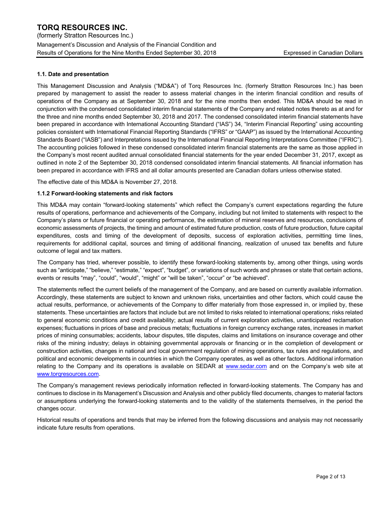(formerly Stratton Resources Inc.) Management's Discussion and Analysis of the Financial Condition and Results of Operations for the Nine Months Ended September 30, 2018 Expressed in Canadian Dollars

# **1.1. Date and presentation**

This Management Discussion and Analysis ("MD&A") of Torq Resources Inc. (formerly Stratton Resources Inc.) has been prepared by management to assist the reader to assess material changes in the interim financial condition and results of operations of the Company as at September 30, 2018 and for the nine months then ended. This MD&A should be read in conjunction with the condensed consolidated interim financial statements of the Company and related notes thereto as at and for the three and nine months ended September 30, 2018 and 2017. The condensed consolidated interim financial statements have been prepared in accordance with International Accounting Standard ("IAS") 34, "Interim Financial Reporting" using accounting policies consistent with International Financial Reporting Standards ("IFRS" or "GAAP") as issued by the International Accounting Standards Board ("IASB") and Interpretations issued by the International Financial Reporting Interpretations Committee ("IFRIC"). The accounting policies followed in these condensed consolidated interim financial statements are the same as those applied in the Company's most recent audited annual consolidated financial statements for the year ended December 31, 2017, except as outlined in note 2 of the September 30, 2018 condensed consolidated interim financial statements. All financial information has been prepared in accordance with IFRS and all dollar amounts presented are Canadian dollars unless otherwise stated.

The effective date of this MD&A is November 27, 2018.

## **1.1.2 Forward-looking statements and risk factors**

This MD&A may contain "forward-looking statements" which reflect the Company's current expectations regarding the future results of operations, performance and achievements of the Company, including but not limited to statements with respect to the Company's plans or future financial or operating performance, the estimation of mineral reserves and resources, conclusions of economic assessments of projects, the timing and amount of estimated future production, costs of future production, future capital expenditures, costs and timing of the development of deposits, success of exploration activities, permitting time lines, requirements for additional capital, sources and timing of additional financing, realization of unused tax benefits and future outcome of legal and tax matters.

The Company has tried, wherever possible, to identify these forward-looking statements by, among other things, using words such as "anticipate," "believe," "estimate," "expect", "budget", or variations of such words and phrases or state that certain actions, events or results "may", "could", "would", "might" or "will be taken", "occur" or "be achieved".

The statements reflect the current beliefs of the management of the Company, and are based on currently available information. Accordingly, these statements are subject to known and unknown risks, uncertainties and other factors, which could cause the actual results, performance, or achievements of the Company to differ materially from those expressed in, or implied by, these statements. These uncertainties are factors that include but are not limited to risks related to international operations; risks related to general economic conditions and credit availability; actual results of current exploration activities, unanticipated reclamation expenses; fluctuations in prices of base and precious metals; fluctuations in foreign currency exchange rates, increases in market prices of mining consumables; accidents, labour disputes, title disputes, claims and limitations on insurance coverage and other risks of the mining industry; delays in obtaining governmental approvals or financing or in the completion of development or construction activities, changes in national and local government regulation of mining operations, tax rules and regulations, and political and economic developments in countries in which the Company operates, as well as other factors. Additional information relating to the Company and its operations is available on SEDAR at www.sedar.com and on the Company's web site at www.torqresources.com.

The Company's management reviews periodically information reflected in forward-looking statements. The Company has and continues to disclose in its Management's Discussion and Analysis and other publicly filed documents, changes to material factors or assumptions underlying the forward-looking statements and to the validity of the statements themselves, in the period the changes occur.

Historical results of operations and trends that may be inferred from the following discussions and analysis may not necessarily indicate future results from operations.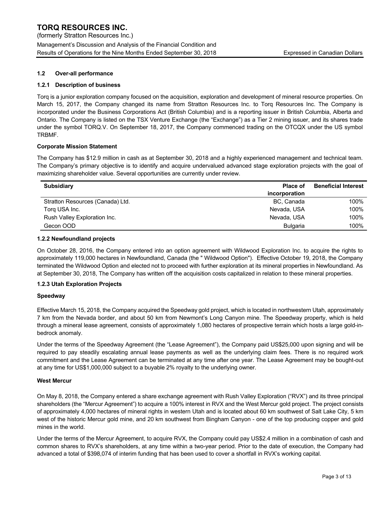(formerly Stratton Resources Inc.) Management's Discussion and Analysis of the Financial Condition and Results of Operations for the Nine Months Ended September 30, 2018 Expressed in Canadian Dollars

# **1.2 Over-all performance**

## **1.2.1 Description of business**

Torq is a junior exploration company focused on the acquisition, exploration and development of mineral resource properties. On March 15, 2017, the Company changed its name from Stratton Resources Inc. to Torq Resources Inc. The Company is incorporated under the Business Corporations Act (British Columbia) and is a reporting issuer in British Columbia, Alberta and Ontario. The Company is listed on the TSX Venture Exchange (the "Exchange") as a Tier 2 mining issuer, and its shares trade under the symbol TORQ.V. On September 18, 2017, the Company commenced trading on the OTCQX under the US symbol TRBMF.

### **Corporate Mission Statement**

The Company has \$12.9 million in cash as at September 30, 2018 and a highly experienced management and technical team. The Company's primary objective is to identify and acquire undervalued advanced stage exploration projects with the goal of maximizing shareholder value. Several opportunities are currently under review.

| <b>Subsidiary</b>                | <b>Place of</b> | <b>Beneficial Interest</b> |
|----------------------------------|-----------------|----------------------------|
|                                  | incorporation   |                            |
| Stratton Resources (Canada) Ltd. | BC, Canada      | 100%                       |
| Torq USA Inc.                    | Nevada, USA     | 100%                       |
| Rush Valley Exploration Inc.     | Nevada, USA     | 100%                       |
| Gecon OOD                        | <b>Bulgaria</b> | 100%                       |

#### **1.2.2 Newfoundland projects**

On October 28, 2016, the Company entered into an option agreement with Wildwood Exploration Inc. to acquire the rights to approximately 119,000 hectares in Newfoundland, Canada (the " Wildwood Option"). Effective October 19, 2018, the Company terminated the Wildwood Option and elected not to proceed with further exploration at its mineral properties in Newfoundland. As at September 30, 2018, The Company has written off the acquisition costs capitalized in relation to these mineral properties.

### **1.2.3 Utah Exploration Projects**

### **Speedway**

Effective March 15, 2018, the Company acquired the Speedway gold project, which is located in northwestern Utah, approximately 7 km from the Nevada border, and about 50 km from Newmont's Long Canyon mine. The Speedway property, which is held through a mineral lease agreement, consists of approximately 1,080 hectares of prospective terrain which hosts a large gold-inbedrock anomaly.

Under the terms of the Speedway Agreement (the "Lease Agreement"), the Company paid US\$25,000 upon signing and will be required to pay steadily escalating annual lease payments as well as the underlying claim fees. There is no required work commitment and the Lease Agreement can be terminated at any time after one year. The Lease Agreement may be bought-out at any time for US\$1,000,000 subject to a buyable 2% royalty to the underlying owner.

### **West Mercur**

On May 8, 2018, the Company entered a share exchange agreement with Rush Valley Exploration ("RVX") and its three principal shareholders (the "Mercur Agreement") to acquire a 100% interest in RVX and the West Mercur gold project. The project consists of approximately 4,000 hectares of mineral rights in western Utah and is located about 60 km southwest of Salt Lake City, 5 km west of the historic Mercur gold mine, and 20 km southwest from Bingham Canyon - one of the top producing copper and gold mines in the world.

Under the terms of the Mercur Agreement, to acquire RVX, the Company could pay US\$2.4 million in a combination of cash and common shares to RVX's shareholders, at any time within a two-year period. Prior to the date of execution, the Company had advanced a total of \$398,074 of interim funding that has been used to cover a shortfall in RVX's working capital.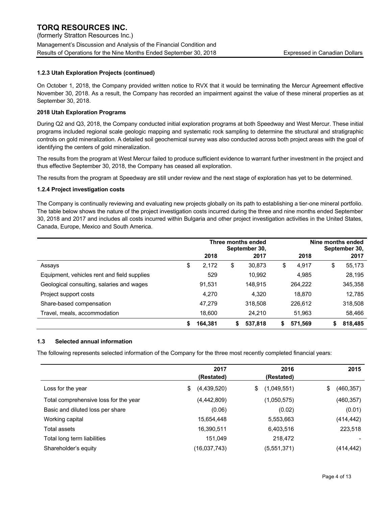# **1.2.3 Utah Exploration Projects (continued)**

On October 1, 2018, the Company provided written notice to RVX that it would be terminating the Mercur Agreement effective November 30, 2018. As a result, the Company has recorded an impairment against the value of these mineral properties as at September 30, 2018.

### **2018 Utah Exploration Programs**

During Q2 and Q3, 2018, the Company conducted initial exploration programs at both Speedway and West Mercur. These initial programs included regional scale geologic mapping and systematic rock sampling to determine the structural and stratigraphic controls on gold mineralization. A detailed soil geochemical survey was also conducted across both project areas with the goal of identifying the centers of gold mineralization.

The results from the program at West Mercur failed to produce sufficient evidence to warrant further investment in the project and thus effective September 30, 2018, the Company has ceased all exploration.

The results from the program at Speedway are still under review and the next stage of exploration has yet to be determined.

### **1.2.4 Project investigation costs**

The Company is continually reviewing and evaluating new projects globally on its path to establishing a tier-one mineral portfolio. The table below shows the nature of the project investigation costs incurred during the three and nine months ended September 30, 2018 and 2017 and includes all costs incurred within Bulgaria and other project investigation activities in the United States, Canada, Europe, Mexico and South America.

|                                             | Three months ended<br>September 30, |         |    | Nine months ended |    |         | September 30, |         |
|---------------------------------------------|-------------------------------------|---------|----|-------------------|----|---------|---------------|---------|
|                                             |                                     | 2018    |    | 2017              |    | 2018    |               | 2017    |
| Assays                                      | \$                                  | 2,172   | \$ | 30,873            | \$ | 4,917   | \$            | 55,173  |
| Equipment, vehicles rent and field supplies |                                     | 529     |    | 10,992            |    | 4,985   |               | 28,195  |
| Geological consulting, salaries and wages   |                                     | 91,531  |    | 148,915           |    | 264,222 |               | 345,358 |
| Project support costs                       |                                     | 4.270   |    | 4,320             |    | 18.870  |               | 12,785  |
| Share-based compensation                    |                                     | 47.279  |    | 318,508           |    | 226,612 |               | 318,508 |
| Travel, meals, accommodation                |                                     | 18,600  |    | 24,210            |    | 51,963  |               | 58,466  |
|                                             | \$                                  | 164.381 | S  | 537,818           | S  | 571.569 | S             | 818,485 |

### **1.3 Selected annual information**

The following represents selected information of the Company for the three most recently completed financial years:

|                                       | 2017<br>(Restated) | 2016<br>(Restated) | 2015             |
|---------------------------------------|--------------------|--------------------|------------------|
| Loss for the year                     | (4,439,520)<br>\$  | (1,049,551)<br>\$  | \$<br>(460, 357) |
| Total comprehensive loss for the year | (4, 442, 809)      | (1,050,575)        | (460, 357)       |
| Basic and diluted loss per share      | (0.06)             | (0.02)             | (0.01)           |
| Working capital                       | 15,654,448         | 5,553,663          | (414,442)        |
| Total assets                          | 16,390,511         | 6,403,516          | 223,518          |
| Total long term liabilities           | 151.049            | 218,472            |                  |
| Shareholder's equity                  | (16,037,743)       | (5,551,371)        | (414,442)        |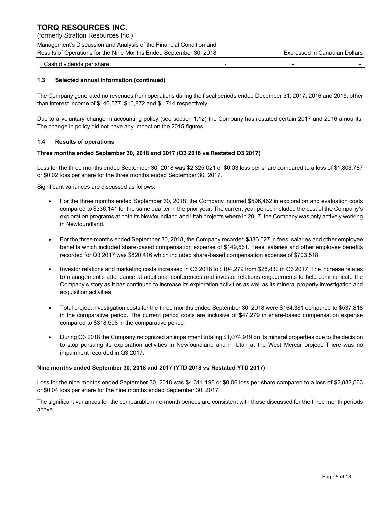(formerly Stratton Resources Inc.) Management's Discussion and Analysis of the Financial Condition and Results of Operations for the Nine Months Ended September 30, 2018 Expressed in Canadian Dollars

Cash dividends per share

## **1.3 Selected annual information (continued)**

The Company generated no revenues from operations during the fiscal periods ended December 31, 2017, 2016 and 2015, other than interest income of \$146,577, \$10,872 and \$1,714 respectively.

Due to a voluntary change in accounting policy (see section 1.12) the Company has restated certain 2017 and 2016 amounts. The change in policy did not have any impact on the 2015 figures.

### **1.4 Results of operations**

## **Three months ended September 30, 2018 and 2017 (Q3 2018 vs Restated Q3 2017)**

Loss for the three months ended September 30, 2018 was \$2,325,021 or \$0.03 loss per share compared to a loss of \$1,803,787 or \$0.02 loss per share for the three months ended September 30, 2017.

Significant variances are discussed as follows:

- For the three months ended September 30, 2018, the Company incurred \$596,462 in exploration and evaluation costs compared to \$336,141 for the same quarter in the prior year. The current year period included the cost of the Company's exploration programs at both its Newfoundland and Utah projects where in 2017, the Company was only actively working in Newfoundland.
- For the three months ended September 30, 2018, the Company recorded \$336,527 in fees, salaries and other employee benefits which included share-based compensation expense of \$149,561. Fees, salaries and other employee benefits recorded for Q3 2017 was \$820,416 which included share-based compensation expense of \$703,518.
- Investor relations and marketing costs increased in Q3 2018 to \$104,279 from \$28,832 in Q3 2017. The increase relates to management's attendance at additional conferences and investor relations engagements to help communicate the Company's story as it has continued to increase its exploration activities as well as its mineral property investigation and acquisition activities.
- Total project investigation costs for the three months ended September 30, 2018 were \$164,381 compared to \$537,818 in the comparative period. The current period costs are inclusive of \$47,279 in share-based compensation expense compared to \$318,508 in the comparative period.
- During Q3 2018 the Company recognized an impairment totaling \$1,074,919 on its mineral properties due to the decision to stop pursuing its exploration activities in Newfoundland and in Utah at the West Mercur project. There was no impairment recorded in Q3 2017.

### **Nine months ended September 30, 2018 and 2017 (YTD 2018 vs Restated YTD 2017)**

Loss for the nine months ended September 30, 2018 was \$4,311,196 or \$0.06 loss per share compared to a loss of \$2,832,563 or \$0.04 loss per share for the nine months ended September 30, 2017.

The significant variances for the comparable nine-month periods are consistent with those discussed for the three month periods above.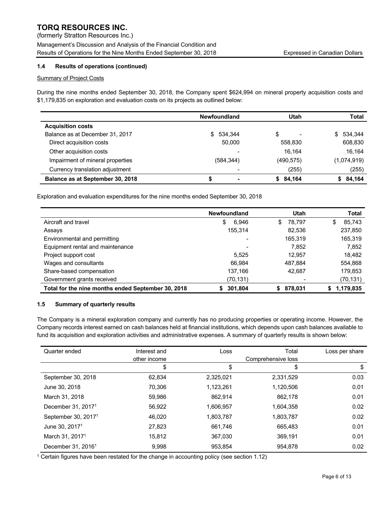(formerly Stratton Resources Inc.) Management's Discussion and Analysis of the Financial Condition and Results of Operations for the Nine Months Ended September 30, 2018 Expressed in Canadian Dollars

# **1.4 Results of operations (continued)**

# **Summary of Project Costs**

During the nine months ended September 30, 2018, the Company spent \$624,994 on mineral property acquisition costs and \$1,179,835 on exploration and evaluation costs on its projects as outlined below:

|                                  | <b>Newfoundland</b> | Utah       | <b>Total</b> |
|----------------------------------|---------------------|------------|--------------|
| <b>Acquisition costs</b>         |                     |            |              |
| Balance as at December 31, 2017  | 534.344<br>S.       | \$         | \$ 534.344   |
| Direct acquisition costs         | 50,000              | 558,830    | 608,830      |
| Other acquisition costs          |                     | 16.164     | 16.164       |
| Impairment of mineral properties | (584, 344)          | (490, 575) | (1,074,919)  |
| Currency translation adjustment  |                     | (255)      | (255)        |
| Balance as at September 30, 2018 | ٠                   | \$84.164   | 84,164       |

Exploration and evaluation expenditures for the nine months ended September 30, 2018

|                                                    | <b>Newfoundland</b> | Utah         | Total          |
|----------------------------------------------------|---------------------|--------------|----------------|
| Aircraft and travel                                | \$<br>6,946         | 78.797<br>\$ | 85,743<br>S    |
| Assays                                             | 155,314             | 82.536       | 237,850        |
| Environmental and permitting                       |                     | 165,319      | 165,319        |
| Equipment rental and maintenance                   |                     | 7.852        | 7,852          |
| Project support cost                               | 5,525               | 12.957       | 18,482         |
| Wages and consultants                              | 66,984              | 487,884      | 554,868        |
| Share-based compensation                           | 137,166             | 42.687       | 179,853        |
| Government grants received                         | (70,131)            |              | (70,131)       |
| Total for the nine months ended September 30, 2018 | 301,804             | 878,031      | 1,179,835<br>S |

### **1.5 Summary of quarterly results**

The Company is a mineral exploration company and currently has no producing properties or operating income. However, the Company records interest earned on cash balances held at financial institutions, which depends upon cash balances available to fund its acquisition and exploration activities and administrative expenses. A summary of quarterly results is shown below:

| Quarter ended                   | Interest and<br>other income | Loss      | Total<br>Comprehensive loss | Loss per share |
|---------------------------------|------------------------------|-----------|-----------------------------|----------------|
|                                 | \$                           | \$        | \$                          | \$             |
| September 30, 2018              | 62.834                       | 2,325,021 | 2,331,529                   | 0.03           |
| June 30, 2018                   | 70.306                       | 1,123,261 | 1,120,506                   | 0.01           |
| March 31, 2018                  | 59.986                       | 862.914   | 862.178                     | 0.01           |
| December 31, 2017 <sup>1</sup>  | 56.922                       | 1,606,957 | 1,604,358                   | 0.02           |
| September 30, 2017 <sup>1</sup> | 46.020                       | 1,803,787 | 1,803,787                   | 0.02           |
| June 30, 2017 <sup>1</sup>      | 27.823                       | 661.746   | 665.483                     | 0.01           |
| March 31, 2017 <sup>1</sup>     | 15.812                       | 367.030   | 369,191                     | 0.01           |
| December 31, 2016 <sup>1</sup>  | 9,998                        | 953,854   | 954,878                     | 0.02           |

<sup>1</sup> Certain figures have been restated for the change in accounting policy (see section 1.12)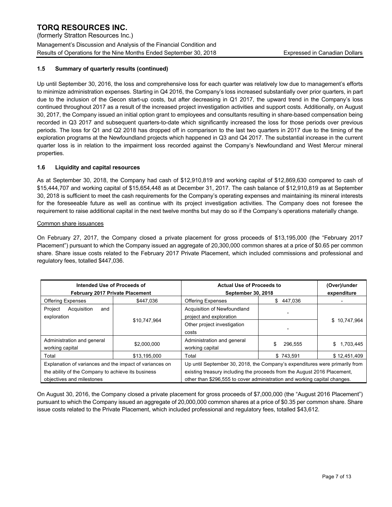(formerly Stratton Resources Inc.) Management's Discussion and Analysis of the Financial Condition and Results of Operations for the Nine Months Ended September 30, 2018 Expressed in Canadian Dollars

# **1.5 Summary of quarterly results (continued)**

Up until September 30, 2016, the loss and comprehensive loss for each quarter was relatively low due to management's efforts to minimize administration expenses. Starting in Q4 2016, the Company's loss increased substantially over prior quarters, in part due to the inclusion of the Gecon start-up costs, but after decreasing in Q1 2017, the upward trend in the Company's loss continued throughout 2017 as a result of the increased project investigation activities and support costs. Additionally, on August 30, 2017, the Company issued an initial option grant to employees and consultants resulting in share-based compensation being recorded in Q3 2017 and subsequent quarters-to-date which significantly increased the loss for those periods over previous periods. The loss for Q1 and Q2 2018 has dropped off in comparison to the last two quarters in 2017 due to the timing of the exploration programs at the Newfoundland projects which happened in Q3 and Q4 2017. The substantial increase in the current quarter loss is in relation to the impairment loss recorded against the Company's Newfoundland and West Mercur mineral properties.

# **1.6 Liquidity and capital resources**

As at September 30, 2018, the Company had cash of \$12,910,819 and working capital of \$12,869,630 compared to cash of \$15,444,707 and working capital of \$15,654,448 as at December 31, 2017. The cash balance of \$12,910,819 as at September 30, 2018 is sufficient to meet the cash requirements for the Company's operating expenses and maintaining its mineral interests for the foreseeable future as well as continue with its project investigation activities. The Company does not foresee the requirement to raise additional capital in the next twelve months but may do so if the Company's operations materially change.

# Common share issuances

On February 27, 2017, the Company closed a private placement for gross proceeds of \$13,195,000 (the "February 2017 Placement") pursuant to which the Company issued an aggregate of 20,300,000 common shares at a price of \$0.65 per common share. Share issue costs related to the February 2017 Private Placement, which included commissions and professional and regulatory fees, totalled \$447,036.

| Intended Use of Proceeds of<br><b>February 2017 Private Placement</b>                                                                                                                                                                                                                                                                                                              |              | <b>Actual Use of Proceeds to</b><br><b>September 30, 2018</b> | (Over)/under<br>expenditure |              |
|------------------------------------------------------------------------------------------------------------------------------------------------------------------------------------------------------------------------------------------------------------------------------------------------------------------------------------------------------------------------------------|--------------|---------------------------------------------------------------|-----------------------------|--------------|
| <b>Offering Expenses</b>                                                                                                                                                                                                                                                                                                                                                           | \$447.036    | <b>Offering Expenses</b>                                      | \$447,036                   |              |
| Project<br>Acquisition<br>and<br>exploration                                                                                                                                                                                                                                                                                                                                       |              | Acquisition of Newfoundland<br>project and exploration        |                             |              |
|                                                                                                                                                                                                                                                                                                                                                                                    | \$10,747,964 | Other project investigation<br>costs                          |                             | \$10,747,964 |
| Administration and general<br>working capital                                                                                                                                                                                                                                                                                                                                      | \$2,000,000  | Administration and general<br>working capital                 | 296.555                     | \$1,703,445  |
| Total                                                                                                                                                                                                                                                                                                                                                                              | \$13.195.000 | Total                                                         | \$743.591                   | \$12,451,409 |
| Up until September 30, 2018, the Company's expenditures were primarily from<br>Explanation of variances and the impact of variances on<br>existing treasury including the proceeds from the August 2016 Placement,<br>the ability of the Company to achieve its business<br>other than \$296,555 to cover administration and working capital changes.<br>objectives and milestones |              |                                                               |                             |              |

On August 30, 2016, the Company closed a private placement for gross proceeds of \$7,000,000 (the "August 2016 Placement") pursuant to which the Company issued an aggregate of 20,000,000 common shares at a price of \$0.35 per common share. Share issue costs related to the Private Placement, which included professional and regulatory fees, totalled \$43,612.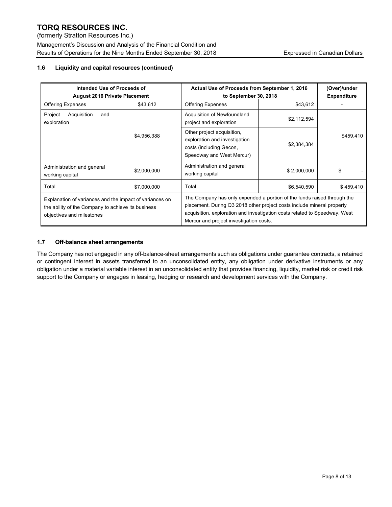(formerly Stratton Resources Inc.) Management's Discussion and Analysis of the Financial Condition and Results of Operations for the Nine Months Ended September 30, 2018 Expressed in Canadian Dollars

# **1.6 Liquidity and capital resources (continued)**

| Intended Use of Proceeds of<br><b>August 2016 Private Placement</b>                                                                        |             | Actual Use of Proceeds from September 1, 2016<br>to September 30, 2018                                                                                                                                                                                                     | (Over)/under<br><b>Expenditure</b> |           |
|--------------------------------------------------------------------------------------------------------------------------------------------|-------------|----------------------------------------------------------------------------------------------------------------------------------------------------------------------------------------------------------------------------------------------------------------------------|------------------------------------|-----------|
| <b>Offering Expenses</b>                                                                                                                   | \$43,612    | <b>Offering Expenses</b>                                                                                                                                                                                                                                                   | \$43,612                           |           |
| Acquisition<br>Project<br>and<br>exploration                                                                                               |             | Acquisition of Newfoundland<br>project and exploration                                                                                                                                                                                                                     | \$2,112,594                        |           |
|                                                                                                                                            | \$4,956,388 | Other project acquisition,<br>exploration and investigation<br>costs (including Gecon,<br>Speedway and West Mercur)                                                                                                                                                        | \$2,384,384                        | \$459,410 |
| Administration and general<br>working capital                                                                                              | \$2,000,000 | Administration and general<br>working capital                                                                                                                                                                                                                              | \$2,000,000                        | \$        |
| Total                                                                                                                                      | \$7,000,000 | Total                                                                                                                                                                                                                                                                      | \$6,540,590                        | \$459,410 |
| Explanation of variances and the impact of variances on<br>the ability of the Company to achieve its business<br>objectives and milestones |             | The Company has only expended a portion of the funds raised through the<br>placement. During Q3 2018 other project costs include mineral property<br>acquisition, exploration and investigation costs related to Speedway, West<br>Mercur and project investigation costs. |                                    |           |

## **1.7 Off-balance sheet arrangements**

The Company has not engaged in any off-balance-sheet arrangements such as obligations under guarantee contracts, a retained or contingent interest in assets transferred to an unconsolidated entity, any obligation under derivative instruments or any obligation under a material variable interest in an unconsolidated entity that provides financing, liquidity, market risk or credit risk support to the Company or engages in leasing, hedging or research and development services with the Company.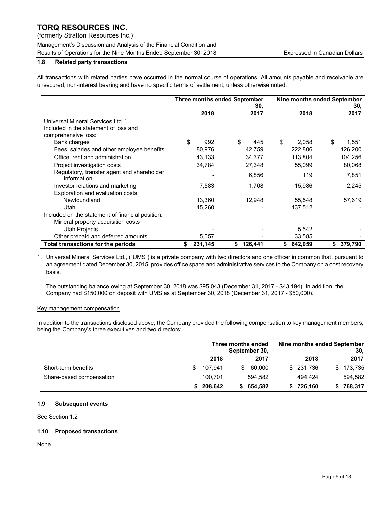(formerly Stratton Resources Inc.)

Management's Discussion and Analysis of the Financial Condition and Results of Operations for the Nine Months Ended September 30, 2018 Expressed in Canadian Dollars

# **1.8 Related party transactions**

All transactions with related parties have occurred in the normal course of operations. All amounts payable and receivable are unsecured, non-interest bearing and have no specific terms of settlement, unless otherwise noted.

|                                                           | <b>Three months ended September</b><br>30. |         |    | Nine months ended September |    | 30,     |             |
|-----------------------------------------------------------|--------------------------------------------|---------|----|-----------------------------|----|---------|-------------|
|                                                           |                                            | 2018    |    | 2017                        |    | 2018    | 2017        |
| Universal Mineral Services Ltd. <sup>1</sup>              |                                            |         |    |                             |    |         |             |
| Included in the statement of loss and                     |                                            |         |    |                             |    |         |             |
| comprehensive loss:                                       |                                            |         |    |                             |    |         |             |
| Bank charges                                              | \$                                         | 992     | S  | 445                         | \$ | 2,058   | \$<br>1,551 |
| Fees, salaries and other employee benefits                |                                            | 80,976  |    | 42,759                      |    | 222,806 | 126,200     |
| Office, rent and administration                           |                                            | 43,133  |    | 34,377                      |    | 113,804 | 104,256     |
| Project investigation costs                               |                                            | 34,784  |    | 27,348                      |    | 55,099  | 80.068      |
| Regulatory, transfer agent and shareholder<br>information |                                            |         |    | 6,856                       |    | 119     | 7,851       |
| Investor relations and marketing                          |                                            | 7,583   |    | 1,708                       |    | 15,986  | 2,245       |
| Exploration and evaluation costs                          |                                            |         |    |                             |    |         |             |
| Newfoundland                                              |                                            | 13,360  |    | 12,948                      |    | 55,548  | 57,619      |
| Utah                                                      |                                            | 45,260  |    |                             |    | 137,512 |             |
| Included on the statement of financial position:          |                                            |         |    |                             |    |         |             |
| Mineral property acquisition costs                        |                                            |         |    |                             |    |         |             |
| <b>Utah Projects</b>                                      |                                            |         |    |                             |    | 5,542   |             |
| Other prepaid and deferred amounts                        |                                            | 5,057   |    |                             |    | 33,585  |             |
| <b>Total transactions for the periods</b>                 | \$                                         | 231,145 | \$ | 126,441                     | \$ | 642,059 | 379,790     |

1. Universal Mineral Services Ltd., ("UMS") is a private company with two directors and one officer in common that, pursuant to an agreement dated December 30, 2015, provides office space and administrative services to the Company on a cost recovery basis.

The outstanding balance owing at September 30, 2018 was \$95,043 (December 31, 2017 - \$43,194). In addition, the Company had \$150,000 on deposit with UMS as at September 30, 2018 (December 31, 2017 - \$50,000).

## Key management compensation

In addition to the transactions disclosed above, the Company provided the following compensation to key management members, being the Company's three executives and two directors:

|                          | Nine months ended September<br>Three months ended<br>September 30, |           |    |         |  | 30.        |           |
|--------------------------|--------------------------------------------------------------------|-----------|----|---------|--|------------|-----------|
|                          |                                                                    | 2018      |    | 2017    |  | 2018       | 2017      |
| Short-term benefits      | S                                                                  | 107.941   |    | 60.000  |  | \$ 231,736 | \$173,735 |
| Share-based compensation |                                                                    | 100.701   |    | 594.582 |  | 494.424    | 594.582   |
|                          |                                                                    | \$208,642 | S. | 654,582 |  | 726,160    | 768.317   |

### **1.9 Subsequent events**

See Section 1.2

### **1.10 Proposed transactions**

None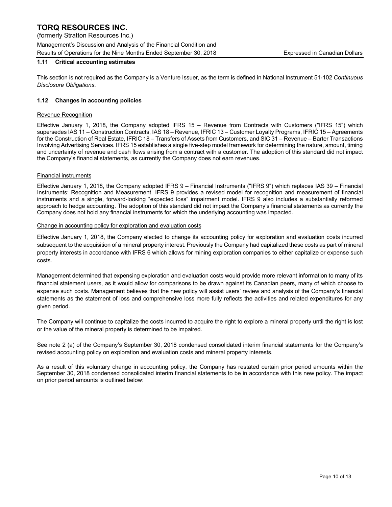(formerly Stratton Resources Inc.) Management's Discussion and Analysis of the Financial Condition and Results of Operations for the Nine Months Ended September 30, 2018 Expressed in Canadian Dollars

# **1.11 Critical accounting estimates**

This section is not required as the Company is a Venture Issuer, as the term is defined in National Instrument 51-102 *Continuous Disclosure Obligations*.

## **1.12 Changes in accounting policies**

#### Revenue Recognition

Effective January 1, 2018, the Company adopted IFRS 15 – Revenue from Contracts with Customers ("IFRS 15") which supersedes IAS 11 – Construction Contracts, IAS 18 – Revenue, IFRIC 13 – Customer Loyalty Programs, IFRIC 15 – Agreements for the Construction of Real Estate, IFRIC 18 – Transfers of Assets from Customers, and SIC 31 – Revenue – Barter Transactions Involving Advertising Services. IFRS 15 establishes a single five-step model framework for determining the nature, amount, timing and uncertainty of revenue and cash flows arising from a contract with a customer. The adoption of this standard did not impact the Company's financial statements, as currently the Company does not earn revenues.

#### Financial instruments

Effective January 1, 2018, the Company adopted IFRS 9 – Financial Instruments ("IFRS 9") which replaces IAS 39 – Financial Instruments: Recognition and Measurement. IFRS 9 provides a revised model for recognition and measurement of financial instruments and a single, forward-looking "expected loss" impairment model. IFRS 9 also includes a substantially reformed approach to hedge accounting. The adoption of this standard did not impact the Company's financial statements as currently the Company does not hold any financial instruments for which the underlying accounting was impacted.

#### Change in accounting policy for exploration and evaluation costs

Effective January 1, 2018, the Company elected to change its accounting policy for exploration and evaluation costs incurred subsequent to the acquisition of a mineral property interest. Previously the Company had capitalized these costs as part of mineral property interests in accordance with IFRS 6 which allows for mining exploration companies to either capitalize or expense such costs.

Management determined that expensing exploration and evaluation costs would provide more relevant information to many of its financial statement users, as it would allow for comparisons to be drawn against its Canadian peers, many of which choose to expense such costs. Management believes that the new policy will assist users' review and analysis of the Company's financial statements as the statement of loss and comprehensive loss more fully reflects the activities and related expenditures for any given period.

The Company will continue to capitalize the costs incurred to acquire the right to explore a mineral property until the right is lost or the value of the mineral property is determined to be impaired.

See note 2 (a) of the Company's September 30, 2018 condensed consolidated interim financial statements for the Company's revised accounting policy on exploration and evaluation costs and mineral property interests.

As a result of this voluntary change in accounting policy, the Company has restated certain prior period amounts within the September 30, 2018 condensed consolidated interim financial statements to be in accordance with this new policy. The impact on prior period amounts is outlined below: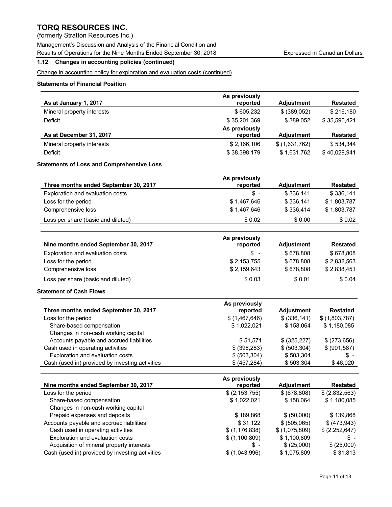(formerly Stratton Resources Inc.)

Management's Discussion and Analysis of the Financial Condition and

Results of Operations for the Nine Months Ended September 30, 2018 Expressed in Canadian Dollars

# **1.12 Changes in accounting policies (continued)**

Change in accounting policy for exploration and evaluation costs (continued)

# **Statements of Financial Position**

|                            | As previously |                   |                 |
|----------------------------|---------------|-------------------|-----------------|
| As at January 1, 2017      | reported      | <b>Adiustment</b> | <b>Restated</b> |
| Mineral property interests | \$605.232     | \$ (389,052)      | \$216.180       |
| Deficit                    | \$35,201,369  | \$389.052         | \$35,590,421    |
|                            | As previously |                   |                 |
| As at December 31, 2017    | reported      | <b>Adiustment</b> | <b>Restated</b> |
| Mineral property interests | \$2,166,106   | \$(1,631,762)     | \$534.344       |
| Deficit                    | \$38,398,179  | \$1,631,762       | \$40,029,941    |

# **Statements of Loss and Comprehensive Loss**

| Three months ended September 30, 2017 | As previously<br>reported | <b>Adiustment</b> | <b>Restated</b> |
|---------------------------------------|---------------------------|-------------------|-----------------|
| Exploration and evaluation costs      | \$ -                      | \$336.141         | \$336,141       |
| Loss for the period                   | \$1,467,646               | \$336.141         | \$1,803,787     |
| Comprehensive loss                    | \$1,467,646               | \$336,414         | \$1,803,787     |
| Loss per share (basic and diluted)    | \$0.02                    | \$0.00            | \$0.02          |

|                                      | As previously |                   |                 |
|--------------------------------------|---------------|-------------------|-----------------|
| Nine months ended September 30, 2017 | reported      | <b>Adjustment</b> | <b>Restated</b> |
| Exploration and evaluation costs     | \$ -          | \$678.808         | \$678.808       |
| Loss for the period                  | \$2,153,755   | \$678.808         | \$2,832,563     |
| Comprehensive loss                   | \$2,159,643   | \$678.808         | \$2.838.451     |
| Loss per share (basic and diluted)   | \$0.03        | \$0.01            | \$0.04          |

### **Statement of Cash Flows**

| Three months ended September 30, 2017           | As previously<br>reported | <b>Adjustment</b> | <b>Restated</b> |
|-------------------------------------------------|---------------------------|-------------------|-----------------|
| Loss for the period                             | \$(1,467,646)             | \$ (336, 141)     | \$(1,803,787)   |
| Share-based compensation                        | \$1,022,021               | \$158.064         | \$1,180,085     |
| Changes in non-cash working capital             |                           |                   |                 |
| Accounts payable and accrued liabilities        | \$51.571                  | \$ (325, 227)     | \$ (273, 656)   |
| Cash used in operating activities               | \$ (398, 283)             | \$ (503, 304)     | \$ (901, 587)   |
| Exploration and evaluation costs                | \$ (503, 304)             | \$503.304         | $S -$           |
| Cash (used in) provided by investing activities | \$ (457, 284)             | \$503,304         | \$46,020        |

|                                                 | As previously   |                   |                 |
|-------------------------------------------------|-----------------|-------------------|-----------------|
| Nine months ended September 30, 2017            | reported        | <b>Adjustment</b> | <b>Restated</b> |
| Loss for the period                             | \$(2,153,755)   | \$ (678,808)      | \$(2,832,563)   |
| Share-based compensation                        | \$1,022,021     | \$158,064         | \$1,180,085     |
| Changes in non-cash working capital             |                 |                   |                 |
| Prepaid expenses and deposits                   | \$189,868       | \$ (50,000)       | \$139,868       |
| Accounts payable and accrued liabilities        | \$31.122        | \$ (505,065)      | \$ (473, 943)   |
| Cash used in operating activities               | \$(1, 176, 838) | \$(1,075,809)     | \$(2,252,647)   |
| Exploration and evaluation costs                | \$(1,100,809)   | \$1,100,809       | \$ -            |
| Acquisition of mineral property interests       | \$-             | \$ (25,000)       | \$(25,000)      |
| Cash (used in) provided by investing activities | \$(1,043,996)   | \$1,075,809       | \$31,813        |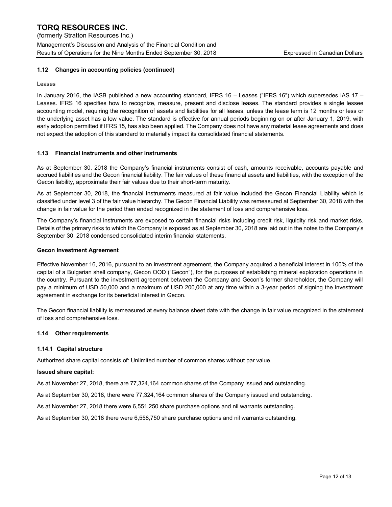### **1.12 Changes in accounting policies (continued)**

#### **Leases**

In January 2016, the IASB published a new accounting standard, IFRS 16 – Leases ("IFRS 16") which supersedes IAS 17 – Leases. IFRS 16 specifies how to recognize, measure, present and disclose leases. The standard provides a single lessee accounting model, requiring the recognition of assets and liabilities for all leases, unless the lease term is 12 months or less or the underlying asset has a low value. The standard is effective for annual periods beginning on or after January 1, 2019, with early adoption permitted if IFRS 15, has also been applied. The Company does not have any material lease agreements and does not expect the adoption of this standard to materially impact its consolidated financial statements.

### **1.13 Financial instruments and other instruments**

As at September 30, 2018 the Company's financial instruments consist of cash, amounts receivable, accounts payable and accrued liabilities and the Gecon financial liability. The fair values of these financial assets and liabilities, with the exception of the Gecon liability, approximate their fair values due to their short-term maturity.

As at September 30, 2018, the financial instruments measured at fair value included the Gecon Financial Liability which is classified under level 3 of the fair value hierarchy. The Gecon Financial Liability was remeasured at September 30, 2018 with the change in fair value for the period then ended recognized in the statement of loss and comprehensive loss.

The Company's financial instruments are exposed to certain financial risks including credit risk, liquidity risk and market risks. Details of the primary risks to which the Company is exposed as at September 30, 2018 are laid out in the notes to the Company's September 30, 2018 condensed consolidated interim financial statements.

#### **Gecon Investment Agreement**

Effective November 16, 2016, pursuant to an investment agreement, the Company acquired a beneficial interest in 100% of the capital of a Bulgarian shell company, Gecon OOD ("Gecon"), for the purposes of establishing mineral exploration operations in the country. Pursuant to the investment agreement between the Company and Gecon's former shareholder, the Company will pay a minimum of USD 50,000 and a maximum of USD 200,000 at any time within a 3-year period of signing the investment agreement in exchange for its beneficial interest in Gecon.

The Gecon financial liability is remeasured at every balance sheet date with the change in fair value recognized in the statement of loss and comprehensive loss.

### **1.14 Other requirements**

#### **1.14.1 Capital structure**

Authorized share capital consists of: Unlimited number of common shares without par value.

#### **Issued share capital:**

As at November 27, 2018, there are 77,324,164 common shares of the Company issued and outstanding.

As at September 30, 2018, there were 77,324,164 common shares of the Company issued and outstanding.

As at November 27, 2018 there were 6,551,250 share purchase options and nil warrants outstanding.

As at September 30, 2018 there were 6,558,750 share purchase options and nil warrants outstanding.